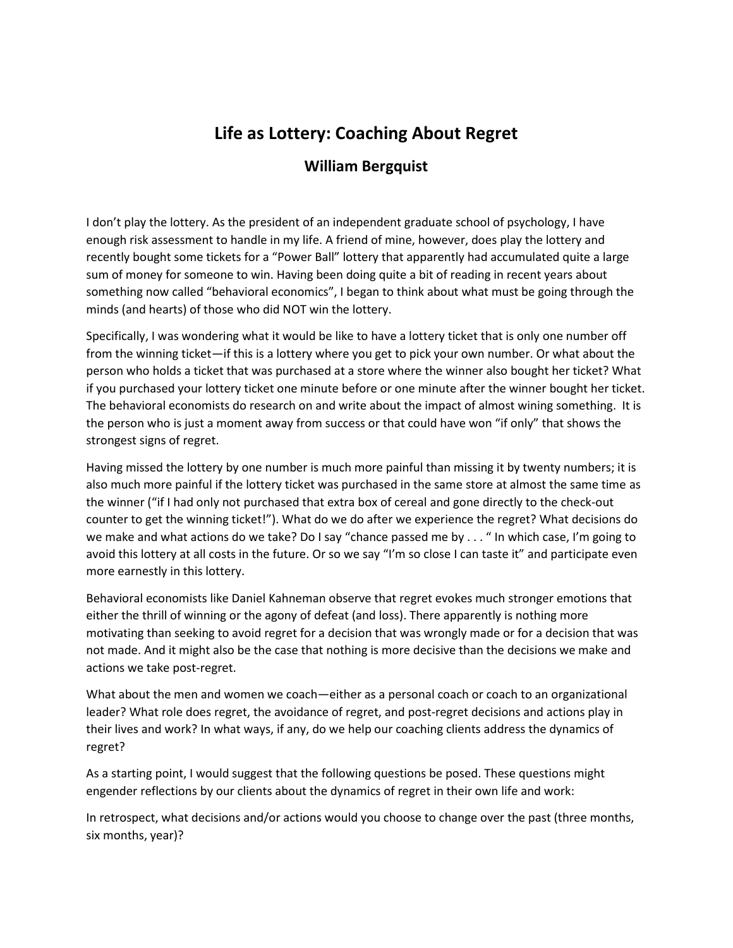## **Life as Lottery: Coaching About Regret**

## **William Bergquist**

I don't play the lottery. As the president of an independent graduate school of psychology, I have enough risk assessment to handle in my life. A friend of mine, however, does play the lottery and recently bought some tickets for a "Power Ball" lottery that apparently had accumulated quite a large sum of money for someone to win. Having been doing quite a bit of reading in recent years about something now called "behavioral economics", I began to think about what must be going through the minds (and hearts) of those who did NOT win the lottery.

Specifically, I was wondering what it would be like to have a lottery ticket that is only one number off from the winning ticket—if this is a lottery where you get to pick your own number. Or what about the person who holds a ticket that was purchased at a store where the winner also bought her ticket? What if you purchased your lottery ticket one minute before or one minute after the winner bought her ticket. The behavioral economists do research on and write about the impact of almost wining something. It is the person who is just a moment away from success or that could have won "if only" that shows the strongest signs of regret.

Having missed the lottery by one number is much more painful than missing it by twenty numbers; it is also much more painful if the lottery ticket was purchased in the same store at almost the same time as the winner ("if I had only not purchased that extra box of cereal and gone directly to the check-out counter to get the winning ticket!"). What do we do after we experience the regret? What decisions do we make and what actions do we take? Do I say "chance passed me by . . . " In which case, I'm going to avoid this lottery at all costs in the future. Or so we say "I'm so close I can taste it" and participate even more earnestly in this lottery.

Behavioral economists like Daniel Kahneman observe that regret evokes much stronger emotions that either the thrill of winning or the agony of defeat (and loss). There apparently is nothing more motivating than seeking to avoid regret for a decision that was wrongly made or for a decision that was not made. And it might also be the case that nothing is more decisive than the decisions we make and actions we take post-regret.

What about the men and women we coach—either as a personal coach or coach to an organizational leader? What role does regret, the avoidance of regret, and post-regret decisions and actions play in their lives and work? In what ways, if any, do we help our coaching clients address the dynamics of regret?

As a starting point, I would suggest that the following questions be posed. These questions might engender reflections by our clients about the dynamics of regret in their own life and work:

In retrospect, what decisions and/or actions would you choose to change over the past (three months, six months, year)?